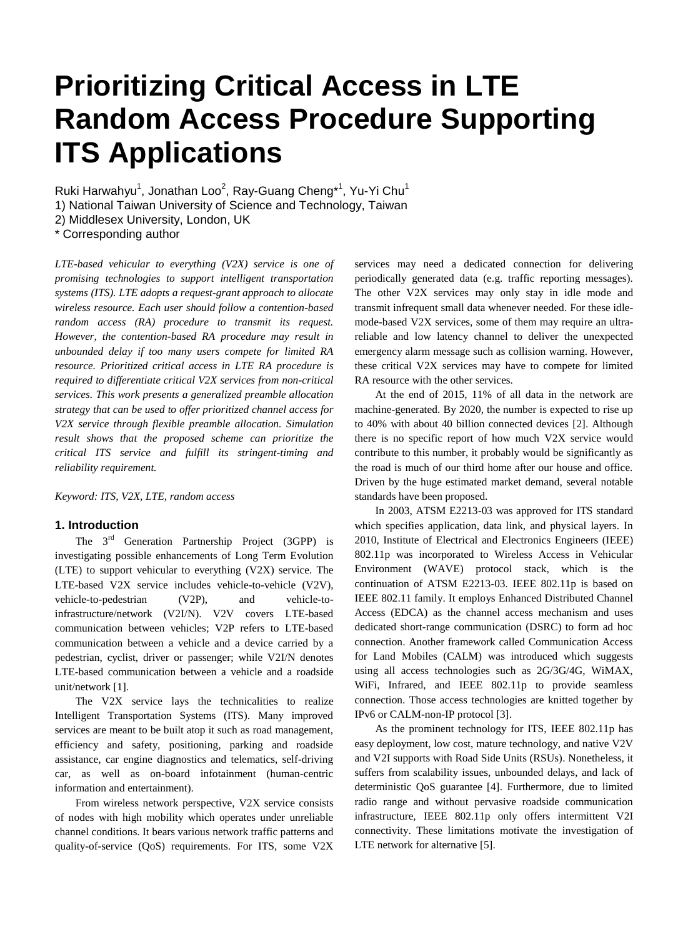# **Prioritizing Critical Access in LTE Random Access Procedure Supporting ITS Applications**

Ruki Harwahyu<sup>1</sup>, Jonathan Loo<sup>2</sup>, Ray-Guang Cheng<sup>\*1</sup>, Yu-Yi Chu<sup>1</sup>

1) National Taiwan University of Science and Technology, Taiwan

2) Middlesex University, London, UK

\* Corresponding author

*LTE-based vehicular to everything (V2X) service is one of promising technologies to support intelligent transportation systems (ITS). LTE adopts a request-grant approach to allocate wireless resource. Each user should follow a contention-based random access (RA) procedure to transmit its request. However, the contention-based RA procedure may result in unbounded delay if too many users compete for limited RA resource. Prioritized critical access in LTE RA procedure is required to differentiate critical V2X services from non-critical services. This work presents a generalized preamble allocation strategy that can be used to offer prioritized channel access for V2X service through flexible preamble allocation. Simulation result shows that the proposed scheme can prioritize the critical ITS service and fulfill its stringent-timing and reliability requirement.*

*Keyword: ITS, V2X, LTE, random access*

## **1. Introduction**

The 3<sup>rd</sup> Generation Partnership Project (3GPP) is investigating possible enhancements of Long Term Evolution (LTE) to support vehicular to everything (V2X) service. The LTE-based V2X service includes vehicle-to-vehicle (V2V), vehicle-to-pedestrian (V2P), and vehicle-toinfrastructure/network (V2I/N). V2V covers LTE-based communication between vehicles; V2P refers to LTE-based communication between a vehicle and a device carried by a pedestrian, cyclist, driver or passenger; while V2I/N denotes LTE-based communication between a vehicle and a roadside unit/network [1].

The V2X service lays the technicalities to realize Intelligent Transportation Systems (ITS). Many improved services are meant to be built atop it such as road management, efficiency and safety, positioning, parking and roadside assistance, car engine diagnostics and telematics, self-driving car, as well as on-board infotainment (human-centric information and entertainment).

From wireless network perspective, V2X service consists of nodes with high mobility which operates under unreliable channel conditions. It bears various network traffic patterns and quality-of-service (QoS) requirements. For ITS, some V2X services may need a dedicated connection for delivering periodically generated data (e.g. traffic reporting messages). The other V2X services may only stay in idle mode and transmit infrequent small data whenever needed. For these idlemode-based V2X services, some of them may require an ultrareliable and low latency channel to deliver the unexpected emergency alarm message such as collision warning. However, these critical V2X services may have to compete for limited RA resource with the other services.

At the end of 2015, 11% of all data in the network are machine-generated. By 2020, the number is expected to rise up to 40% with about 40 billion connected devices [2]. Although there is no specific report of how much V2X service would contribute to this number, it probably would be significantly as the road is much of our third home after our house and office. Driven by the huge estimated market demand, several notable standards have been proposed.

In 2003, ATSM E2213-03 was approved for ITS standard which specifies application, data link, and physical layers. In 2010, Institute of Electrical and Electronics Engineers (IEEE) 802.11p was incorporated to Wireless Access in Vehicular Environment (WAVE) protocol stack, which is the continuation of ATSM E2213-03. IEEE 802.11p is based on IEEE 802.11 family. It employs Enhanced Distributed Channel Access (EDCA) as the channel access mechanism and uses dedicated short-range communication (DSRC) to form ad hoc connection. Another framework called Communication Access for Land Mobiles (CALM) was introduced which suggests using all access technologies such as 2G/3G/4G, WiMAX, WiFi, Infrared, and IEEE 802.11p to provide seamless connection. Those access technologies are knitted together by IPv6 or CALM-non-IP protocol [3].

As the prominent technology for ITS, IEEE 802.11p has easy deployment, low cost, mature technology, and native V2V and V2I supports with Road Side Units (RSUs). Nonetheless, it suffers from scalability issues, unbounded delays, and lack of deterministic QoS guarantee [4]. Furthermore, due to limited radio range and without pervasive roadside communication infrastructure, IEEE 802.11p only offers intermittent V2I connectivity. These limitations motivate the investigation of LTE network for alternative [5].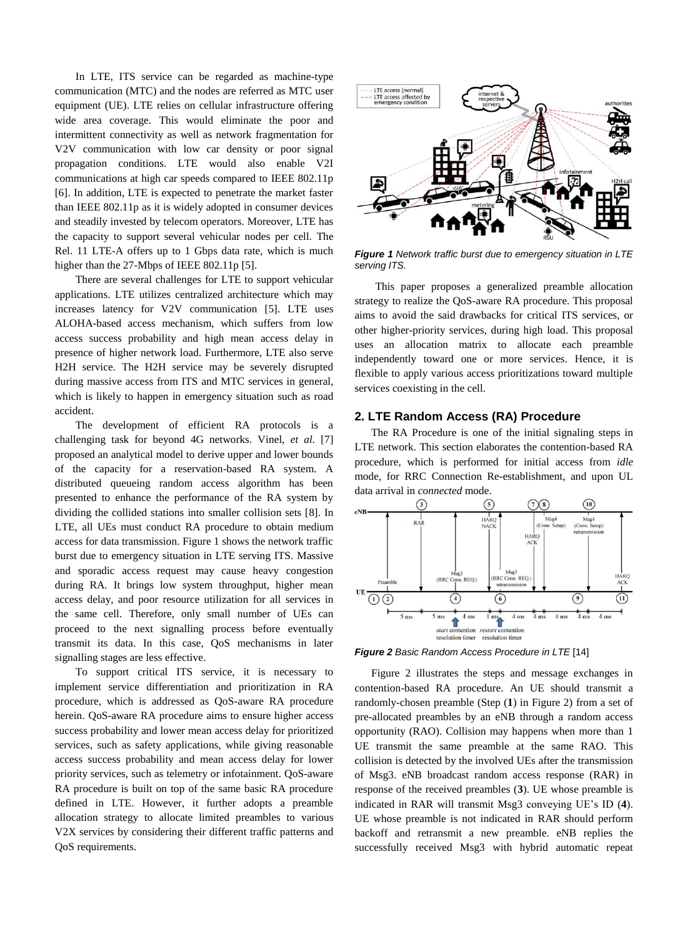In LTE, ITS service can be regarded as machine-type communication (MTC) and the nodes are referred as MTC user equipment (UE). LTE relies on cellular infrastructure offering wide area coverage. This would eliminate the poor and intermittent connectivity as well as network fragmentation for V2V communication with low car density or poor signal propagation conditions. LTE would also enable V2I communications at high car speeds compared to IEEE 802.11p [6]. In addition, LTE is expected to penetrate the market faster than IEEE 802.11p as it is widely adopted in consumer devices and steadily invested by telecom operators. Moreover, LTE has the capacity to support several vehicular nodes per cell. The Rel. 11 LTE-A offers up to 1 Gbps data rate, which is much higher than the 27-Mbps of IEEE 802.11p [5].

There are several challenges for LTE to support vehicular applications. LTE utilizes centralized architecture which may increases latency for V2V communication [5]. LTE uses ALOHA-based access mechanism, which suffers from low access success probability and high mean access delay in presence of higher network load. Furthermore, LTE also serve H2H service. The H2H service may be severely disrupted during massive access from ITS and MTC services in general, which is likely to happen in emergency situation such as road accident.

The development of efficient RA protocols is a challenging task for beyond 4G networks. Vinel, *et al.* [7] proposed an analytical model to derive upper and lower bounds of the capacity for a reservation-based RA system. A distributed queueing random access algorithm has been presented to enhance the performance of the RA system by dividing the collided stations into smaller collision sets [8]. In LTE, all UEs must conduct RA procedure to obtain medium access for data transmission. Figure 1 shows the network traffic burst due to emergency situation in LTE serving ITS. Massive and sporadic access request may cause heavy congestion during RA. It brings low system throughput, higher mean access delay, and poor resource utilization for all services in the same cell. Therefore, only small number of UEs can proceed to the next signalling process before eventually transmit its data. In this case, QoS mechanisms in later signalling stages are less effective.

To support critical ITS service, it is necessary to implement service differentiation and prioritization in RA procedure, which is addressed as QoS-aware RA procedure herein. QoS-aware RA procedure aims to ensure higher access success probability and lower mean access delay for prioritized services, such as safety applications, while giving reasonable access success probability and mean access delay for lower priority services, such as telemetry or infotainment. QoS-aware RA procedure is built on top of the same basic RA procedure defined in LTE. However, it further adopts a preamble allocation strategy to allocate limited preambles to various V2X services by considering their different traffic patterns and QoS requirements.



*Figure 1 Network traffic burst due to emergency situation in LTE serving ITS.*

This paper proposes a generalized preamble allocation strategy to realize the QoS-aware RA procedure. This proposal aims to avoid the said drawbacks for critical ITS services, or other higher-priority services, during high load. This proposal uses an allocation matrix to allocate each preamble independently toward one or more services. Hence, it is flexible to apply various access prioritizations toward multiple services coexisting in the cell.

### **2. LTE Random Access (RA) Procedure**

The RA Procedure is one of the initial signaling steps in LTE network. This section elaborates the contention-based RA procedure, which is performed for initial access from *idle* mode, for RRC Connection Re-establishment, and upon UL data arrival in *connected* mode.



*Figure 2 Basic Random Access Procedure in LTE* [14]

Figure 2 illustrates the steps and message exchanges in contention-based RA procedure. An UE should transmit a randomly-chosen preamble (Step (**1**) in Figure 2) from a set of pre-allocated preambles by an eNB through a random access opportunity (RAO). Collision may happens when more than 1 UE transmit the same preamble at the same RAO. This collision is detected by the involved UEs after the transmission of Msg3. eNB broadcast random access response (RAR) in response of the received preambles (**3**). UE whose preamble is indicated in RAR will transmit Msg3 conveying UE"s ID (**4**). UE whose preamble is not indicated in RAR should perform backoff and retransmit a new preamble. eNB replies the successfully received Msg3 with hybrid automatic repeat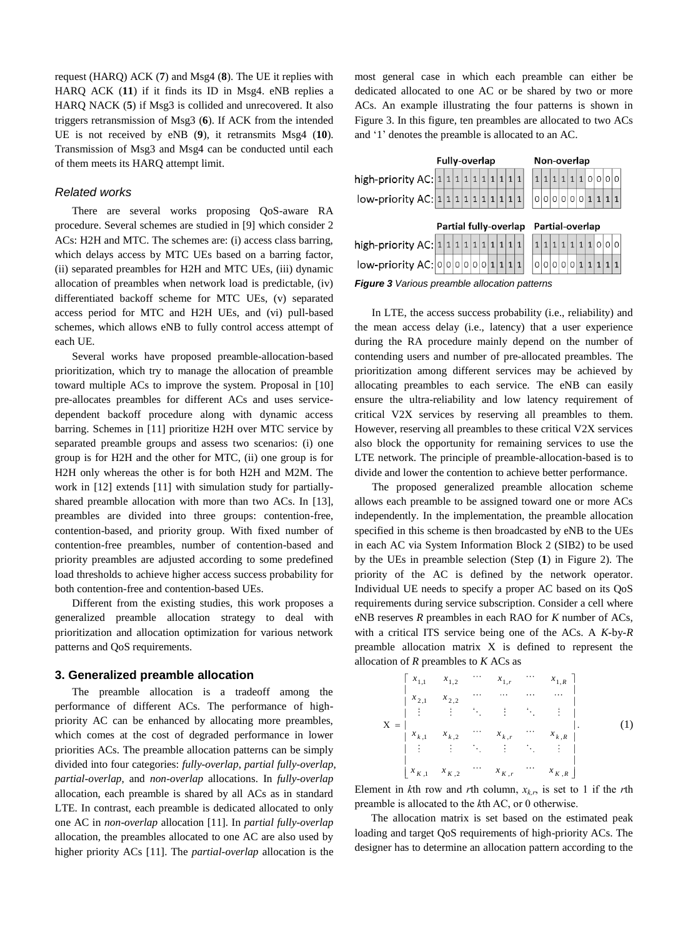request (HARQ) ACK (**7**) and Msg4 (**8**). The UE it replies with HARQ ACK (**11**) if it finds its ID in Msg4. eNB replies a HARQ NACK (**5**) if Msg3 is collided and unrecovered. It also triggers retransmission of Msg3 (**6**). If ACK from the intended UE is not received by eNB (**9**), it retransmits Msg4 (**10**). Transmission of Msg3 and Msg4 can be conducted until each of them meets its HARQ attempt limit.

#### *Related works*

There are several works proposing QoS-aware RA procedure. Several schemes are studied in [9] which consider 2 ACs: H2H and MTC. The schemes are: (i) access class barring, which delays access by MTC UEs based on a barring factor, (ii) separated preambles for H2H and MTC UEs, (iii) dynamic allocation of preambles when network load is predictable, (iv) differentiated backoff scheme for MTC UEs, (v) separated access period for MTC and H2H UEs, and (vi) pull-based schemes, which allows eNB to fully control access attempt of each UE.

Several works have proposed preamble-allocation-based prioritization, which try to manage the allocation of preamble toward multiple ACs to improve the system. Proposal in [10] pre-allocates preambles for different ACs and uses servicedependent backoff procedure along with dynamic access barring. Schemes in [11] prioritize H2H over MTC service by separated preamble groups and assess two scenarios: (i) one group is for H2H and the other for MTC, (ii) one group is for H2H only whereas the other is for both H2H and M2M. The work in [12] extends [11] with simulation study for partiallyshared preamble allocation with more than two ACs. In [13], preambles are divided into three groups: contention-free, contention-based, and priority group. With fixed number of contention-free preambles, number of contention-based and priority preambles are adjusted according to some predefined load thresholds to achieve higher access success probability for both contention-free and contention-based UEs.

Different from the existing studies, this work proposes a generalized preamble allocation strategy to deal with prioritization and allocation optimization for various network patterns and QoS requirements.

#### **3. Generalized preamble allocation**

The preamble allocation is a tradeoff among the performance of different ACs. The performance of highpriority AC can be enhanced by allocating more preambles, which comes at the cost of degraded performance in lower priorities ACs. The preamble allocation patterns can be simply divided into four categories: *fully-overlap*, *partial fully-overlap*, *partial-overlap*, and *non-overlap* allocations. In *fully-overlap* allocation, each preamble is shared by all ACs as in standard LTE. In contrast, each preamble is dedicated allocated to only one AC in *non-overlap* allocation [11]. In *partial fully-overlap* allocation, the preambles allocated to one AC are also used by higher priority ACs [11]. The *partial-overlap* allocation is the

most general case in which each preamble can either be dedicated allocated to one AC or be shared by two or more ACs. An example illustrating the four patterns is shown in Figure 3. In this figure, ten preambles are allocated to two ACs and "1" denotes the preamble is allocated to an AC.

|                                       | Fully-overlap |  |  |                       |  |  |  |  | Non-overlap |  |  |  |                 |  |  |  |  |                     |  |
|---------------------------------------|---------------|--|--|-----------------------|--|--|--|--|-------------|--|--|--|-----------------|--|--|--|--|---------------------|--|
| high-priority AC: $1 1 1 1 1 1 1 1 1$ |               |  |  |                       |  |  |  |  |             |  |  |  |                 |  |  |  |  | 1 1 1 1 1 1 0 0 0 0 |  |
| low-priority AC: $1 1 1 1 1 1 1 1 1$  |               |  |  |                       |  |  |  |  |             |  |  |  |                 |  |  |  |  | 0 0 0 0 0 0 1 1 1 1 |  |
|                                       |               |  |  | Partial fully-overlap |  |  |  |  |             |  |  |  |                 |  |  |  |  |                     |  |
|                                       |               |  |  |                       |  |  |  |  |             |  |  |  | Partial-overlap |  |  |  |  |                     |  |
| high-priority AC: $1 1 1 1 1 1 1 1 1$ |               |  |  |                       |  |  |  |  |             |  |  |  |                 |  |  |  |  | 1 1 1 1 1 1 1 0 0 0 |  |

*Figure 3 Various preamble allocation patterns*

In LTE, the access success probability (i.e., reliability) and the mean access delay (i.e., latency) that a user experience during the RA procedure mainly depend on the number of contending users and number of pre-allocated preambles. The prioritization among different services may be achieved by allocating preambles to each service. The eNB can easily ensure the ultra-reliability and low latency requirement of critical V2X services by reserving all preambles to them. However, reserving all preambles to these critical V2X services also block the opportunity for remaining services to use the LTE network. The principle of preamble-allocation-based is to divide and lower the contention to achieve better performance.

The proposed generalized preamble allocation scheme allows each preamble to be assigned toward one or more ACs independently. In the implementation, the preamble allocation specified in this scheme is then broadcasted by eNB to the UEs in each AC via System Information Block 2 (SIB2) to be used by the UEs in preamble selection (Step (**1**) in Figure 2). The priority of the AC is defined by the network operator. Individual UE needs to specify a proper AC based on its QoS requirements during service subscription. Consider a cell where eNB reserves *R* preambles in each RAO for *K* number of ACs, with a critical ITS service being one of the ACs. A *K*-by-*R* preamble allocation matrix X is defined to represent the allocation of *R* preambles to *K* ACs as

|   | $\left[ x_{1,1}\right]$                           | $x_{1,2}$ | $\cdots$       | $x_{1,r}$                  | $\cdots$ | $x_{1,R}$                                                                                                               |  |
|---|---------------------------------------------------|-----------|----------------|----------------------------|----------|-------------------------------------------------------------------------------------------------------------------------|--|
|   | $x_{2,1}$                                         | $x_{2,2}$ | للباري البياري |                            |          | $\sim$                                                                                                                  |  |
|   | 计注册 注册 医心脏病 医                                     |           |                |                            |          | $\sim 3-1$                                                                                                              |  |
| X | $\begin{array}{c} \n\cdot & x_{k,1}\n\end{array}$ |           | $\ldots$       |                            |          |                                                                                                                         |  |
|   | 上手。                                               |           |                |                            |          | $\begin{array}{ccccccccc} x_{k,2} & \cdots & x_{k,r} & & & \\ \vdots & \ddots & \vdots & \ddots & \vdots & \end{array}$ |  |
|   | $\chi_{K,1}$                                      | $x_{K,2}$ | $\cdots$       | $x_{\boldsymbol{K} \, ,r}$ |          | $x_{K,R}$                                                                                                               |  |

Element in *k*th row and *r*th column,  $x_{k,r}$ , is set to 1 if the *r*th preamble is allocated to the *k*th AC, or 0 otherwise.

The allocation matrix is set based on the estimated peak loading and target QoS requirements of high-priority ACs. The designer has to determine an allocation pattern according to the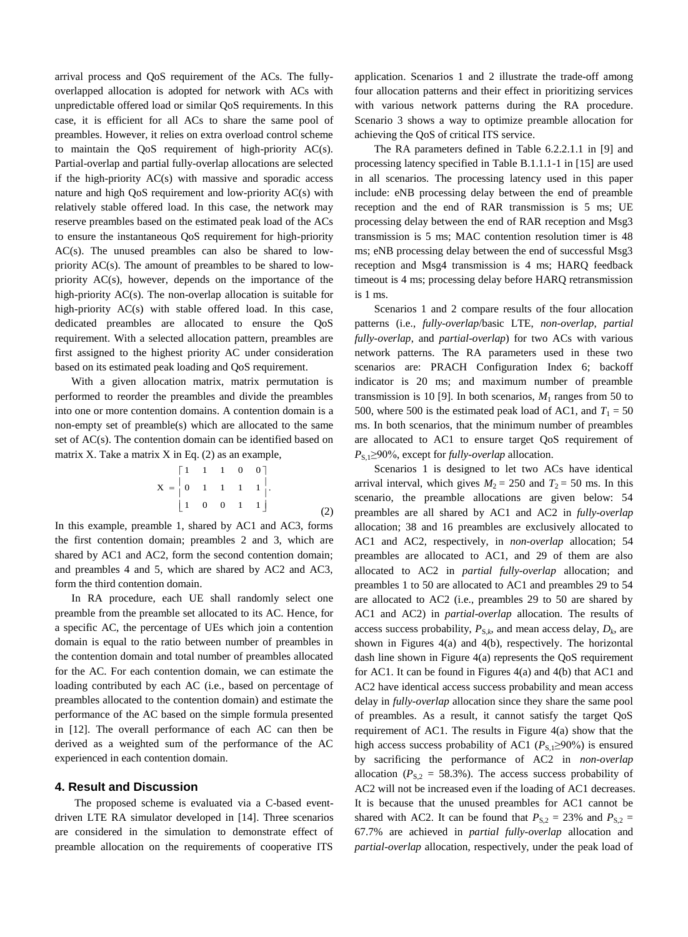arrival process and QoS requirement of the ACs. The fullyoverlapped allocation is adopted for network with ACs with unpredictable offered load or similar QoS requirements. In this case, it is efficient for all ACs to share the same pool of preambles. However, it relies on extra overload control scheme to maintain the QoS requirement of high-priority AC(s). Partial-overlap and partial fully-overlap allocations are selected if the high-priority AC(s) with massive and sporadic access nature and high QoS requirement and low-priority AC(s) with relatively stable offered load. In this case, the network may reserve preambles based on the estimated peak load of the ACs to ensure the instantaneous QoS requirement for high-priority AC(s). The unused preambles can also be shared to lowpriority AC(s). The amount of preambles to be shared to lowpriority AC(s), however, depends on the importance of the high-priority AC(s). The non-overlap allocation is suitable for high-priority AC(s) with stable offered load. In this case, dedicated preambles are allocated to ensure the QoS requirement. With a selected allocation pattern, preambles are first assigned to the highest priority AC under consideration based on its estimated peak loading and QoS requirement.

With a given allocation matrix, matrix permutation is performed to reorder the preambles and divide the preambles into one or more contention domains. A contention domain is a non-empty set of preamble(s) which are allocated to the same set of AC(s). The contention domain can be identified based on matrix X. Take a matrix  $X$  in Eq. (2) as an example,

$$
X = \begin{bmatrix} 1 & 1 & 1 & 0 & 0 \\ 0 & 1 & 1 & 1 & 1 \\ 1 & 0 & 0 & 1 & 1 \end{bmatrix}.
$$
 (2)

In this example, preamble 1, shared by AC1 and AC3, forms the first contention domain; preambles 2 and 3, which are shared by AC1 and AC2, form the second contention domain; and preambles 4 and 5, which are shared by AC2 and AC3, form the third contention domain.

In RA procedure, each UE shall randomly select one preamble from the preamble set allocated to its AC. Hence, for a specific AC, the percentage of UEs which join a contention domain is equal to the ratio between number of preambles in the contention domain and total number of preambles allocated for the AC. For each contention domain, we can estimate the loading contributed by each AC (i.e., based on percentage of preambles allocated to the contention domain) and estimate the performance of the AC based on the simple formula presented in [12]. The overall performance of each AC can then be derived as a weighted sum of the performance of the AC experienced in each contention domain.

#### **4. Result and Discussion**

The proposed scheme is evaluated via a C-based eventdriven LTE RA simulator developed in [14]. Three scenarios are considered in the simulation to demonstrate effect of preamble allocation on the requirements of cooperative ITS application. Scenarios 1 and 2 illustrate the trade-off among four allocation patterns and their effect in prioritizing services with various network patterns during the RA procedure. Scenario 3 shows a way to optimize preamble allocation for achieving the QoS of critical ITS service.

The RA parameters defined in Table 6.2.2.1.1 in [9] and processing latency specified in Table B.1.1.1-1 in [15] are used in all scenarios. The processing latency used in this paper include: eNB processing delay between the end of preamble reception and the end of RAR transmission is 5 ms; UE processing delay between the end of RAR reception and Msg3 transmission is 5 ms; MAC contention resolution timer is 48 ms; eNB processing delay between the end of successful Msg3 reception and Msg4 transmission is 4 ms; HARQ feedback timeout is 4 ms; processing delay before HARQ retransmission is 1 ms.

Scenarios 1 and 2 compare results of the four allocation patterns (i.e., *fully-overlap*/basic LTE, *non-overlap*, *partial fully-overlap*, and *partial-overlap*) for two ACs with various network patterns. The RA parameters used in these two scenarios are: PRACH Configuration Index 6; backoff indicator is 20 ms; and maximum number of preamble transmission is 10 [9]. In both scenarios,  $M_1$  ranges from 50 to 500, where 500 is the estimated peak load of AC1, and  $T_1 = 50$ ms. In both scenarios, that the minimum number of preambles are allocated to AC1 to ensure target QoS requirement of *P*<sub>S,1</sub>≥90%, except for *fully-overlap* allocation.

Scenarios 1 is designed to let two ACs have identical arrival interval, which gives  $M_2 = 250$  and  $T_2 = 50$  ms. In this scenario, the preamble allocations are given below: 54 preambles are all shared by AC1 and AC2 in *fully-overlap* allocation; 38 and 16 preambles are exclusively allocated to AC1 and AC2, respectively, in *non-overlap* allocation; 54 preambles are allocated to AC1, and 29 of them are also allocated to AC2 in *partial fully-overlap* allocation; and preambles 1 to 50 are allocated to AC1 and preambles 29 to 54 are allocated to AC2 (i.e., preambles 29 to 50 are shared by AC1 and AC2) in *partial-overlap* allocation. The results of access success probability,  $P_{S,k}$ , and mean access delay,  $D_k$ , are shown in Figures 4(a) and 4(b), respectively. The horizontal dash line shown in Figure 4(a) represents the QoS requirement for AC1. It can be found in Figures 4(a) and 4(b) that AC1 and AC2 have identical access success probability and mean access delay in *fully-overlap* allocation since they share the same pool of preambles. As a result, it cannot satisfy the target QoS requirement of AC1. The results in Figure 4(a) show that the high access success probability of AC1 ( $P_{S,1} \ge 90\%$ ) is ensured by sacrificing the performance of AC2 in *non-overlap* allocation ( $P_{S,2} = 58.3\%$ ). The access success probability of AC2 will not be increased even if the loading of AC1 decreases. It is because that the unused preambles for AC1 cannot be shared with AC2. It can be found that  $P_{S,2} = 23\%$  and  $P_{S,2} =$ 67.7% are achieved in *partial fully-overlap* allocation and *partial-overlap* allocation, respectively, under the peak load of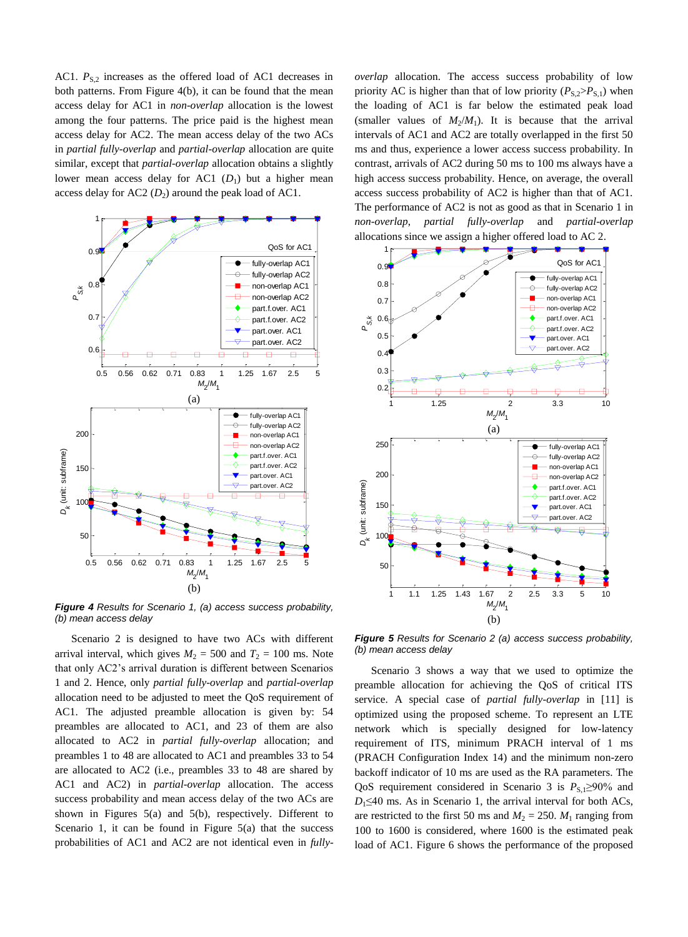AC1.  $P_{S,2}$  increases as the offered load of AC1 decreases in both patterns. From Figure 4(b), it can be found that the mean access delay for AC1 in *non-overlap* allocation is the lowest among the four patterns. The price paid is the highest mean access delay for AC2. The mean access delay of the two ACs in *partial fully-overlap* and *partial-overlap* allocation are quite similar, except that *partial-overlap* allocation obtains a slightly lower mean access delay for AC1 (*D*<sub>1</sub>) but a higher mean access delay for  $AC2 (D<sub>2</sub>)$  around the peak load of  $AC1$ .



*Figure 4 Results for Scenario 1, (a) access success probability, (b) mean access delay*

Scenario 2 is designed to have two ACs with different arrival interval, which gives  $M_2 = 500$  and  $T_2 = 100$  ms. Note that only AC2"s arrival duration is different between Scenarios 1 and 2. Hence, only *partial fully-overlap* and *partial-overlap* allocation need to be adjusted to meet the QoS requirement of AC1. The adjusted preamble allocation is given by: 54 preambles are allocated to AC1, and 23 of them are also allocated to AC2 in *partial fully-overlap* allocation; and preambles 1 to 48 are allocated to AC1 and preambles 33 to 54 are allocated to AC2 (i.e., preambles 33 to 48 are shared by AC1 and AC2) in *partial-overlap* allocation. The access success probability and mean access delay of the two ACs are shown in Figures 5(a) and 5(b), respectively. Different to Scenario 1, it can be found in Figure 5(a) that the success probabilities of AC1 and AC2 are not identical even in *fully-* *overlap* allocation. The access success probability of low priority AC is higher than that of low priority  $(P_{S,2} > P_{S,1})$  when the loading of AC1 is far below the estimated peak load (smaller values of  $M_2/M_1$ ). It is because that the arrival intervals of AC1 and AC2 are totally overlapped in the first 50 ms and thus, experience a lower access success probability. In contrast, arrivals of AC2 during 50 ms to 100 ms always have a high access success probability. Hence, on average, the overall access success probability of AC2 is higher than that of AC1. The performance of AC2 is not as good as that in Scenario 1 in *non-overlap*, *partial fully-overlap* and *partial-overlap* allocations since we assign a higher offered load to AC 2.



*Figure 5 Results for Scenario 2 (a) access success probability, (b) mean access delay*

Scenario 3 shows a way that we used to optimize the preamble allocation for achieving the QoS of critical ITS service. A special case of *partial fully-overlap* in [11] is optimized using the proposed scheme. To represent an LTE network which is specially designed for low-latency requirement of ITS, minimum PRACH interval of 1 ms (PRACH Configuration Index 14) and the minimum non-zero backoff indicator of 10 ms are used as the RA parameters. The QoS requirement considered in Scenario 3 is  $P_{S,1} \ge 90\%$  and  $D_1 \leq 40$  ms. As in Scenario 1, the arrival interval for both ACs, are restricted to the first 50 ms and  $M_2 = 250$ .  $M_1$  ranging from 100 to 1600 is considered, where 1600 is the estimated peak load of AC1. Figure 6 shows the performance of the proposed